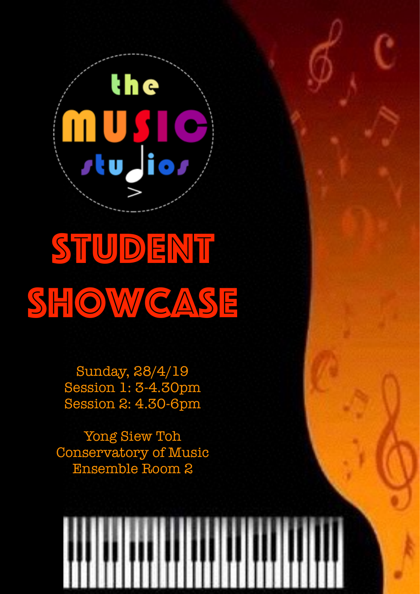

## STUDENT SHOWCASE

Sunday, 28/4/19 Session 1: 3-4.30pm Session 2: 4.30-6pm

Yong Siew Toh Conservatory of Music Ensemble Room 2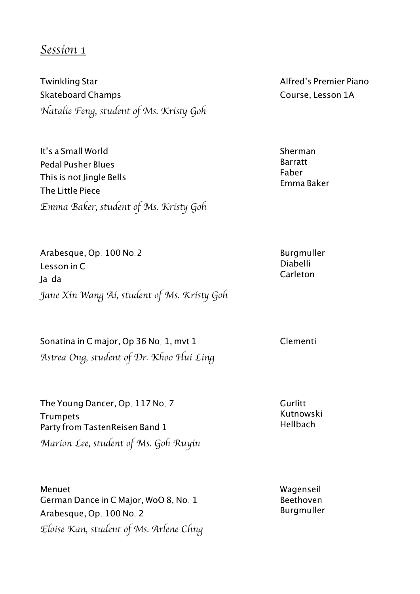## *Session 1*

Twinkling Star Skateboard Champs *Natalie Feng, student of Ms. Kris*t *Goh*

It's a Small World Pedal Pusher Blues This is not Jingle Bells The Little Piece *Emma Baker, student of Ms. Kris*t *Goh*

Arabesque, Op. 100 No.2 Lesson in C Ja-da *Jane Xin Wang Ai, student of Ms. Kris*t *Goh*

Sonatina in C major, Op 36 No. 1, mvt 1 Clementi *As*t*ea Ong, student of Dr. Khoo Hui Ling*

The Young Dancer, Op. 117 No. 7 **Trumpets** Party from TastenReisen Band 1 *Marion Lee, student of Ms. Goh Ruyin*

Menuet German Dance in C Major, WoO 8, No. 1 Arabesque, Op. 100 No. 2 *Eloise Kan, student of Ms. Arlene Chng* Alfred's Premier Piano Course, Lesson 1A

Sherman Barratt Faber Emma Baker

Burgmuller Diabelli Carleton

**Gurlitt** Kutnowski Hellbach

Wagenseil Beethoven Burgmuller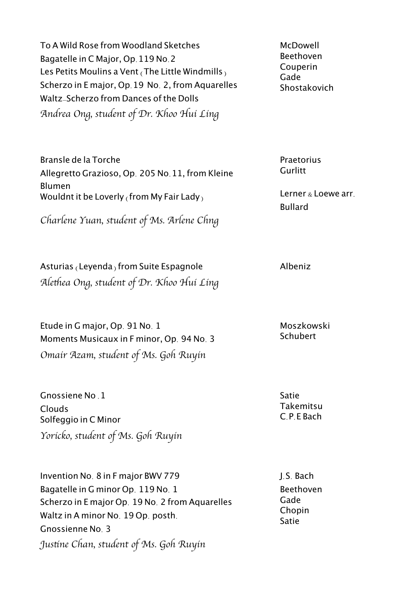To A Wild Rose from Woodland Sketches Bagatelle in C Major, Op.119 No.2 Les Petits Moulins a Vent  $($ The Little Windmills $)$ Scherzo in E major, Op.19 No. 2, from Aquarelles Waltz-Scherzo from Dances of the Dolls *Andrea Ong, student of Dr. Khoo Hui Ling*

Bransle de la Torche Allegretto Grazioso, Op. 205 No.11, from Kleine Blumen Wouldnt it be Loverly (from My Fair Lady)

*Charlene Yuan, student of Ms. Arlene Chng*

Asturias (Leyenda) from Suite Espagnole Albeniz *Ale*t*ea Ong, student of Dr. Khoo Hui Ling*

Etude in G major, Op. 91 No. 1 Moments Musicaux in F minor, Op. 94 No. 3 *Omair Azam, student of Ms. Goh Ruyin*

Gnossiene No .1 Clouds Solfeggio in C Minor *Yoricko, student of Ms. Goh Ruyin*

Invention No. 8 in F major BWV 779 Bagatelle in G minor Op. 119 No. 1 Scherzo in E major Op. 19 No. 2 from Aquarelles Waltz in A minor No. 19 Op. posth. Gnossienne No. 3 *Jus*t*ne Chan, student of Ms. Goh Ruyin*

**McDowell** Beethoven Couperin Gade **Shostakovich** 

Praetorius Gurlitt

Lerner & Loewe arr. Bullard

Moszkowski **Schubert** 

Satie Takemitsu C.P.E Bach

J.S. Bach Beethoven Gade Chopin Satie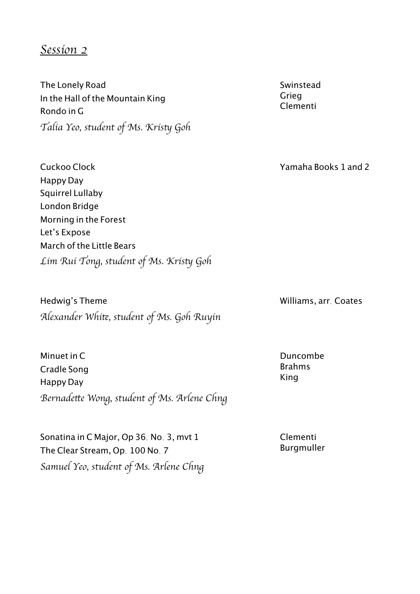## *Session 2*

The Lonely Road In the Hall of the Mountain King Rondo in G *Talia Yeo, student of Ms. Kris*t *Goh*

Cuckoo Clock Happy Day Squirrel Lullaby London Bridge Morning in the Forest Let's Expose March of the Little Bears *Lim Rui Tong, student of Ms. Kris*t *Goh*

Hedwig's Theme Williams, arr. Coates *Alexander Whi*t*, student of Ms. Goh Ruyin*

Minuet in C Cradle Song Happy Day *Bernade*t*e Wong, student of Ms. Arlene Chng*

Sonatina in C Major, Op 36. No. 3, mvt 1 The Clear Stream, Op. 100 No. 7 *Samuel Yeo, student of Ms. Arlene Chng* Swinstead Grieg Clementi

Yamaha Books 1 and 2

Duncombe Brahms King

Clementi Burgmuller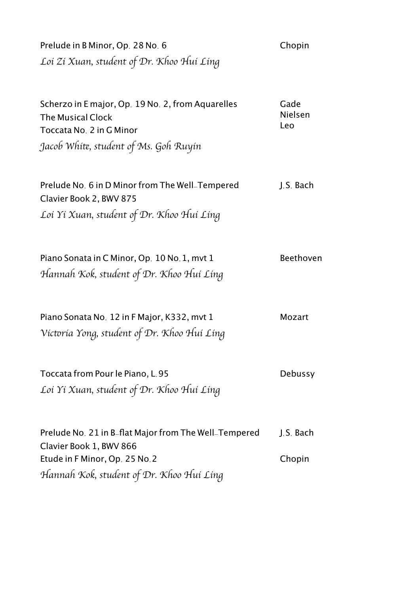Prelude in B Minor, Op. 28 No. 6 Chopin *Loi Zi Xuan, student of Dr. Khoo Hui Ling*

Scherzo in E major, Op. 19 No. 2, from Aquarelles The Musical Clock Toccata No. 2 in G Minor Gade Nielsen Leo *Jacob Whi*t*, student of Ms. Goh Ruyin*

| Prelude No. 6 in D Minor from The Well_Tempered | J.S. Bach |
|-------------------------------------------------|-----------|
| Clavier Book 2, BWV 875                         |           |
| Loi Yi Xuan, student of Dr. Khoo Hui Ling       |           |

Piano Sonata in C Minor, Op. 10 No. 1, myt 1 Beethoven *Hannah Kok, student of Dr. Khoo Hui Ling*

Piano Sonata No. 12 in F Major, K332, mvt 1 Mozart *Vic*t*ria Yong, student of Dr. Khoo Hui Ling*

Toccata from Pour le Piano, L.95 Debussy *Loi Yi Xuan, student of Dr. Khoo Hui Ling*

Prelude No. 21 in B-flat Major from The Well-Tempered Clavier Book 1, BWV 866 Etude in F Minor, Op. 25 No.2 J.S. Bach Chopin *Hannah Kok, student of Dr. Khoo Hui Ling*